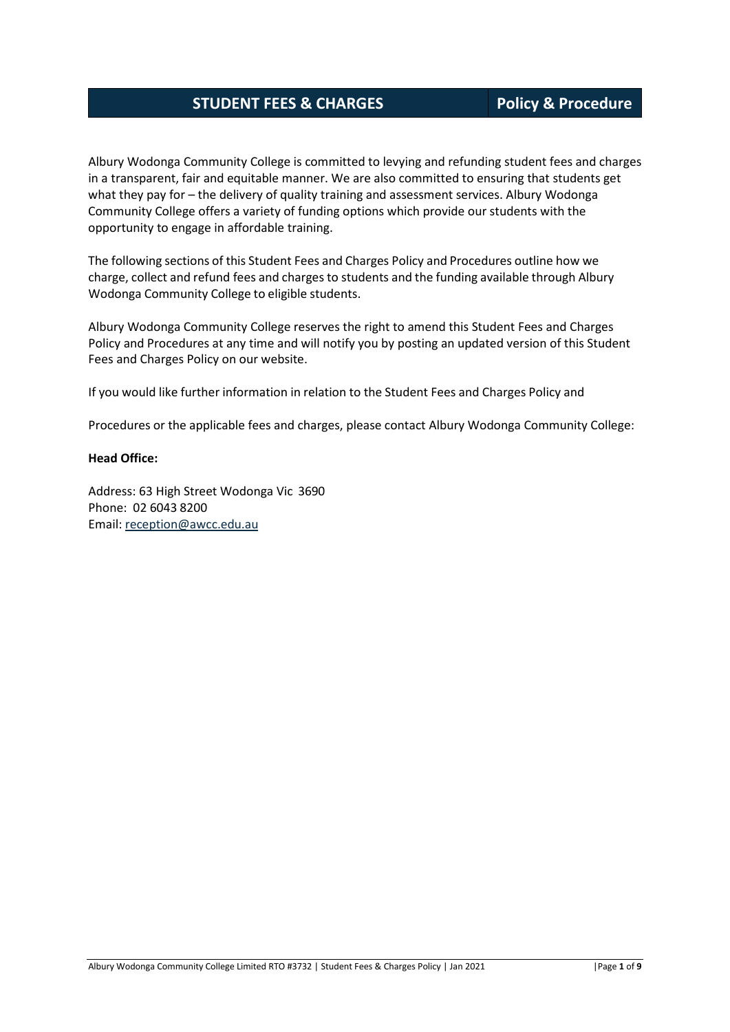## **STUDENT FEES & CHARGES Policy & Procedure**

Albury Wodonga Community College is committed to levying and refunding student fees and charges in a transparent, fair and equitable manner. We are also committed to ensuring that students get what they pay for – the delivery of quality training and assessment services. Albury Wodonga Community College offers a variety of funding options which provide our students with the opportunity to engage in affordable training.

The following sections of this Student Fees and Charges Policy and Procedures outline how we charge, collect and refund fees and charges to students and the funding available through Albury Wodonga Community College to eligible students.

Albury Wodonga Community College reserves the right to amend this Student Fees and Charges Policy and Procedures at any time and will notify you by posting an updated version of this Student Fees and Charges Policy on our website.

If you would like further information in relation to the Student Fees and Charges Policy and

Procedures or the applicable fees and charges, please contact Albury Wodonga Community College:

#### **Head Office:**

Address: 63 High Street Wodonga Vic 3690 Phone: 02 6043 8200 Email: [reception@awcc.edu.au](mailto:reception@awcc.edu.au)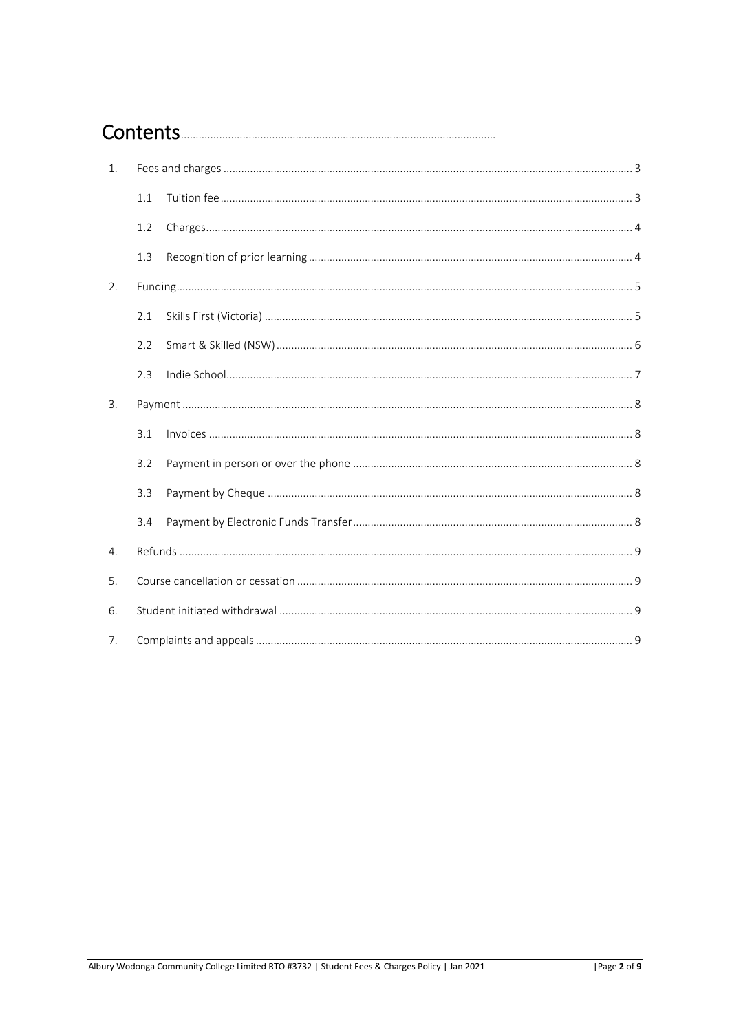# 

| 1.             |     |  |  |  |  |
|----------------|-----|--|--|--|--|
|                | 1.1 |  |  |  |  |
|                | 1.2 |  |  |  |  |
|                | 1.3 |  |  |  |  |
| 2.             |     |  |  |  |  |
|                | 2.1 |  |  |  |  |
|                | 2.2 |  |  |  |  |
|                | 2.3 |  |  |  |  |
| 3.             |     |  |  |  |  |
|                | 3.1 |  |  |  |  |
|                | 3.2 |  |  |  |  |
|                | 3.3 |  |  |  |  |
|                | 3.4 |  |  |  |  |
| $\mathbf{4}$ . |     |  |  |  |  |
| 5.             |     |  |  |  |  |
| 6.             |     |  |  |  |  |
| 7.             |     |  |  |  |  |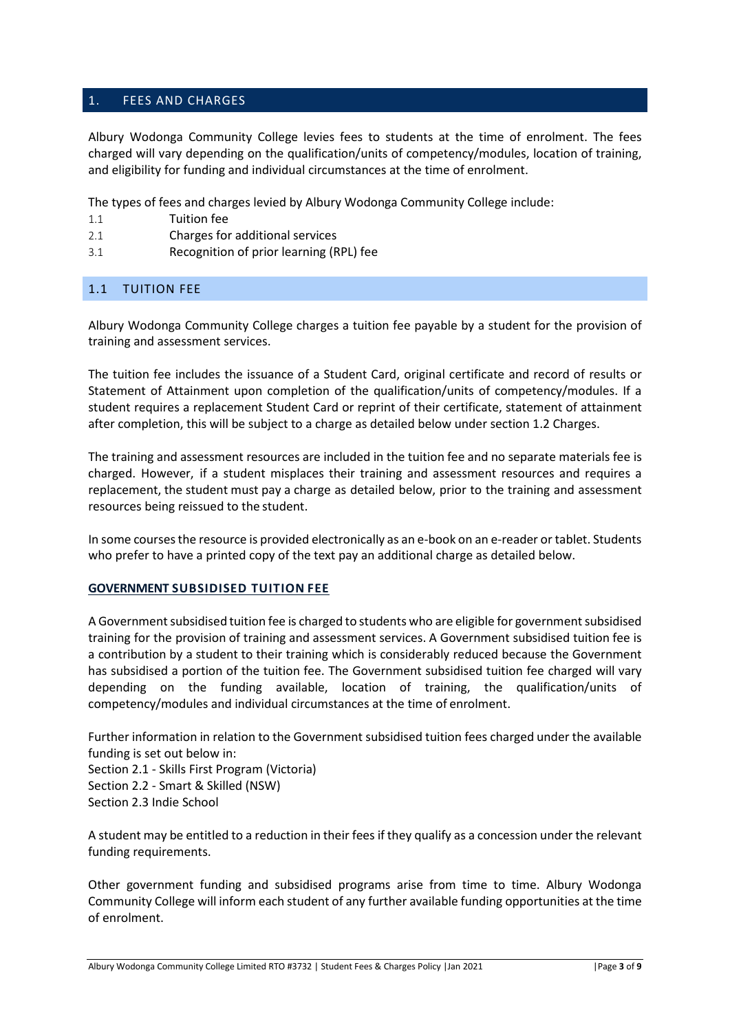## <span id="page-2-0"></span>1. FEES AND CHARGES

Albury Wodonga Community College levies fees to students at the time of enrolment. The fees charged will vary depending on the qualification/units of competency/modules, location of training, and eligibility for funding and individual circumstances at the time of enrolment.

The types of fees and charges levied by Albury Wodonga Community College include:

- 1.1 Tuition fee
- 2.1 Charges for additional services
- 3.1 Recognition of prior learning (RPL) fee

### <span id="page-2-1"></span>1.1 TUITION FEE

Albury Wodonga Community College charges a tuition fee payable by a student for the provision of training and assessment services.

The tuition fee includes the issuance of a Student Card, original certificate and record of results or Statement of Attainment upon completion of the qualification/units of competency/modules. If a student requires a replacement Student Card or reprint of their certificate, statement of attainment after completion, this will be subject to a charge as detailed below under section 1.2 Charges.

The training and assessment resources are included in the tuition fee and no separate materials fee is charged. However, if a student misplaces their training and assessment resources and requires a replacement, the student must pay a charge as detailed below, prior to the training and assessment resources being reissued to the student.

In some courses the resource is provided electronically as an e-book on an e-reader or tablet. Students who prefer to have a printed copy of the text pay an additional charge as detailed below.

### **GOVERNMENT SUBSIDISED TUITION FEE**

A Government subsidised tuition fee is charged to students who are eligible for government subsidised training for the provision of training and assessment services. A Government subsidised tuition fee is a contribution by a student to their training which is considerably reduced because the Government has subsidised a portion of the tuition fee. The Government subsidised tuition fee charged will vary depending on the funding available, location of training, the qualification/units of competency/modules and individual circumstances at the time of enrolment.

Further information in relation to the Government subsidised tuition fees charged under the available funding is set out below in:

Section 2.1 - Skills First Program (Victoria) Section 2.2 - Smart & Skilled (NSW) Section 2.3 Indie School

A student may be entitled to a reduction in their fees if they qualify as a concession under the relevant funding requirements.

Other government funding and subsidised programs arise from time to time. Albury Wodonga Community College will inform each student of any further available funding opportunities at the time of enrolment.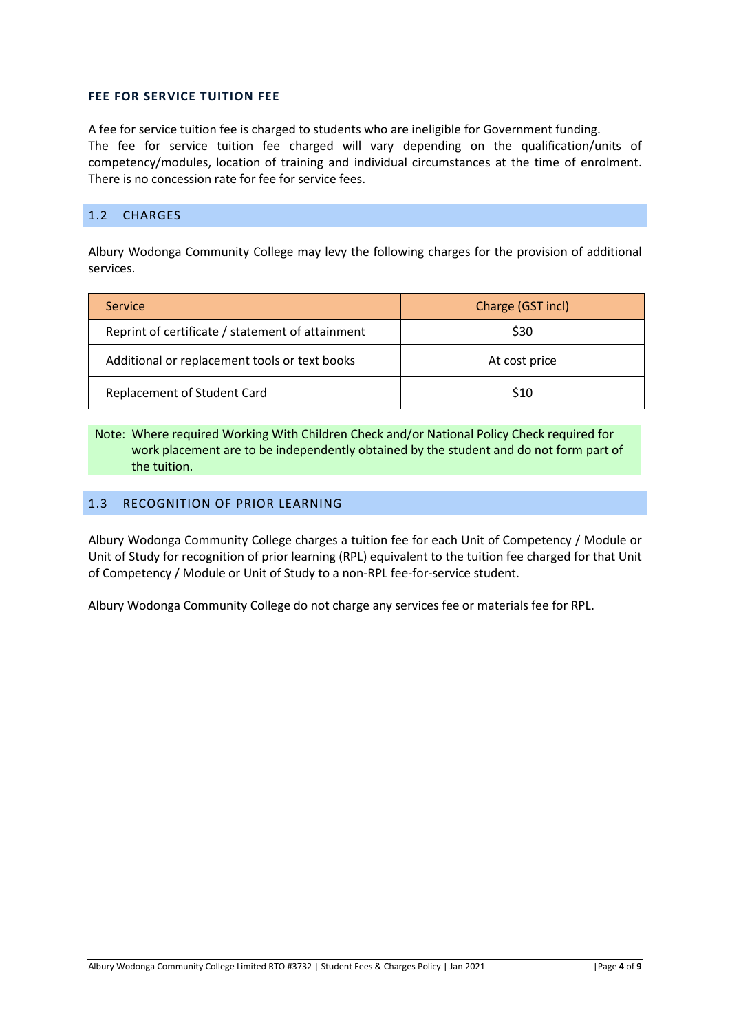## **FEE FOR SERVICE TUITION FEE**

A fee for service tuition fee is charged to students who are ineligible for Government funding. The fee for service tuition fee charged will vary depending on the qualification/units of competency/modules, location of training and individual circumstances at the time of enrolment. There is no concession rate for fee for service fees.

## <span id="page-3-0"></span>1.2 CHARGES

Albury Wodonga Community College may levy the following charges for the provision of additional services.

| <b>Service</b>                                   | Charge (GST incl) |
|--------------------------------------------------|-------------------|
| Reprint of certificate / statement of attainment | \$30              |
| Additional or replacement tools or text books    | At cost price     |
| Replacement of Student Card                      | \$10              |

Note: Where required Working With Children Check and/or National Policy Check required for work placement are to be independently obtained by the student and do not form part of the tuition.

## <span id="page-3-1"></span>1.3 RECOGNITION OF PRIOR LEARNING

Albury Wodonga Community College charges a tuition fee for each Unit of Competency / Module or Unit of Study for recognition of prior learning (RPL) equivalent to the tuition fee charged for that Unit of Competency / Module or Unit of Study to a non-RPL fee-for-service student.

Albury Wodonga Community College do not charge any services fee or materials fee for RPL.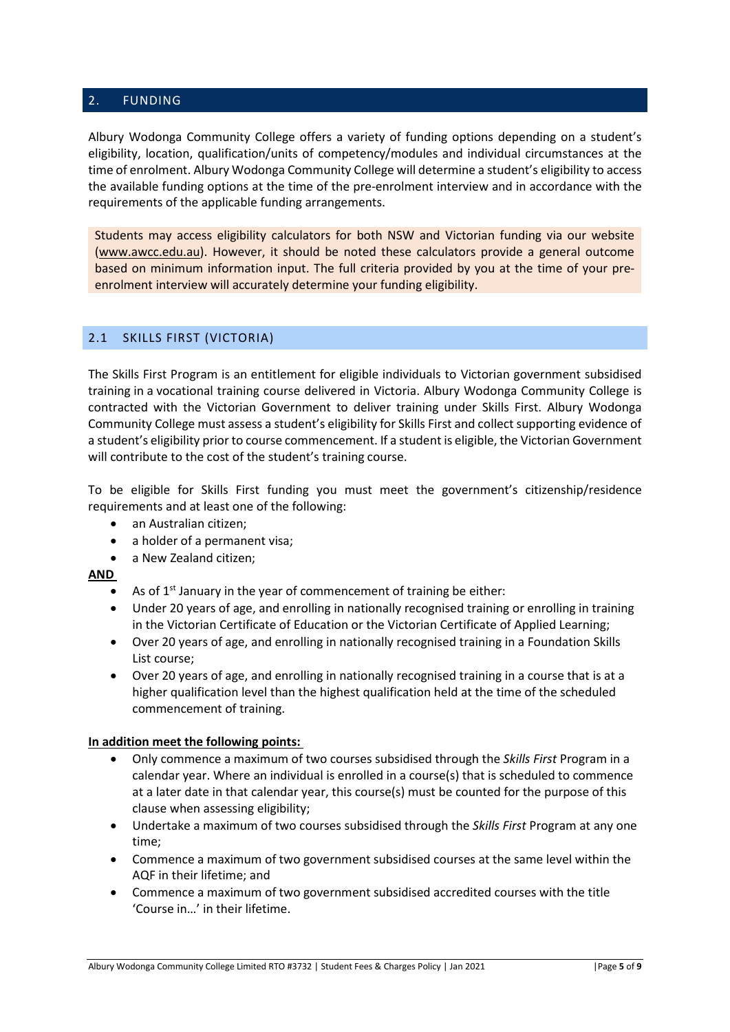## <span id="page-4-0"></span>2. FUNDING

Albury Wodonga Community College offers a variety of funding options depending on a student's eligibility, location, qualification/units of competency/modules and individual circumstances at the time of enrolment. Albury Wodonga Community College will determine a student's eligibility to access the available funding options at the time of the pre-enrolment interview and in accordance with the requirements of the applicable funding arrangements.

Students may access eligibility calculators for both NSW and Victorian funding via our website [\(www.awcc.edu.au\).](http://www.awcc.edu.au/) However, it should be noted these calculators provide a general outcome based on minimum information input. The full criteria provided by you at the time of your preenrolment interview will accurately determine your funding eligibility.

## <span id="page-4-1"></span>2.1 SKILLS FIRST (VICTORIA)

The Skills First Program is an entitlement for eligible individuals to Victorian government subsidised training in a vocational training course delivered in Victoria. Albury Wodonga Community College is contracted with the Victorian Government to deliver training under Skills First. Albury Wodonga Community College must assess a student's eligibility for Skills First and collect supporting evidence of a student's eligibility prior to course commencement. If a student is eligible, the Victorian Government will contribute to the cost of the student's training course.

To be eligible for Skills First funding you must meet the government's citizenship/residence requirements and at least one of the following:

- an Australian citizen;
- a holder of a permanent visa;
- a New Zealand citizen:

### **AND**

- As of  $1<sup>st</sup>$  January in the year of commencement of training be either:
- Under 20 years of age, and enrolling in nationally recognised training or enrolling in training in the Victorian Certificate of Education or the Victorian Certificate of Applied Learning;
- Over 20 years of age, and enrolling in nationally recognised training in a Foundation Skills List course;
- Over 20 years of age, and enrolling in nationally recognised training in a course that is at a higher qualification level than the highest qualification held at the time of the scheduled commencement of training.

### **In addition meet the following points:**

- Only commence a maximum of two courses subsidised through the *Skills First* Program in a calendar year. Where an individual is enrolled in a course(s) that is scheduled to commence at a later date in that calendar year, this course(s) must be counted for the purpose of this clause when assessing eligibility;
- Undertake a maximum of two courses subsidised through the *Skills First* Program at any one time;
- Commence a maximum of two government subsidised courses at the same level within the AQF in their lifetime; and
- Commence a maximum of two government subsidised accredited courses with the title 'Course in…' in their lifetime.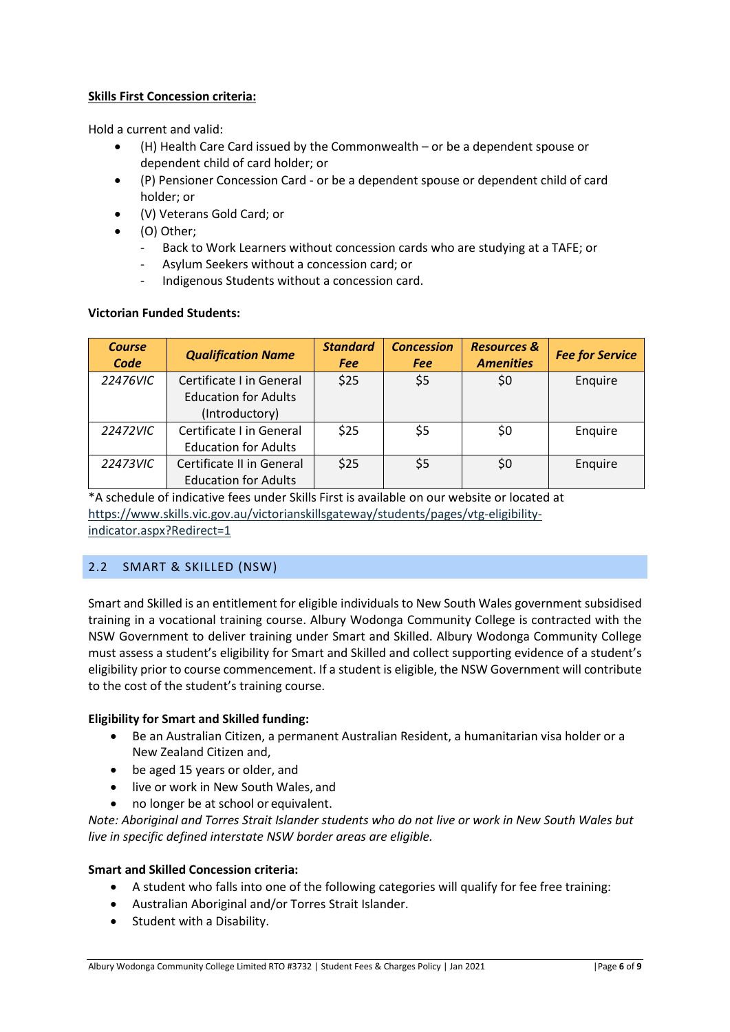## **Skills First Concession criteria:**

Hold a current and valid:

- (H) Health Care Card issued by the Commonwealth or be a dependent spouse or dependent child of card holder; or
- (P) Pensioner Concession Card or be a dependent spouse or dependent child of card holder; or
- (V) Veterans Gold Card; or
- (O) Other;
	- Back to Work Learners without concession cards who are studying at a TAFE; or
	- Asylum Seekers without a concession card; or
	- Indigenous Students without a concession card.

### **Victorian Funded Students:**

| <b>Course</b><br>Code | <b>Qualification Name</b>   | <b>Standard</b><br><b>Fee</b> | <b>Concession</b><br><b>Fee</b> | <b>Resources &amp;</b><br><b>Amenities</b> | <b>Fee for Service</b> |
|-----------------------|-----------------------------|-------------------------------|---------------------------------|--------------------------------------------|------------------------|
| 22476VIC              | Certificate I in General    | \$25                          | \$5                             | \$0                                        | Enquire                |
|                       | <b>Education for Adults</b> |                               |                                 |                                            |                        |
|                       | (Introductory)              |                               |                                 |                                            |                        |
| 22472VIC              | Certificate I in General    | \$25                          | \$5                             | \$0                                        | Enquire                |
|                       | <b>Education for Adults</b> |                               |                                 |                                            |                        |
| 22473VIC              | Certificate II in General   | \$25                          | \$5                             | \$0                                        | Enquire                |
|                       | <b>Education for Adults</b> |                               |                                 |                                            |                        |

\*A schedule of indicative fees under Skills First is available on our website or located at [https://www.skills.vic.gov.au/victorianskillsgateway/students/pages/vtg-eligibility](https://www.skills.vic.gov.au/victorianskillsgateway/students/pages/vtg-eligibility-indicator.aspx?Redirect=1)[indicator.aspx?Redirect=1](https://www.skills.vic.gov.au/victorianskillsgateway/students/pages/vtg-eligibility-indicator.aspx?Redirect=1)

## <span id="page-5-0"></span>2.2 SMART & SKILLED (NSW)

Smart and Skilled is an entitlement for eligible individuals to New South Wales government subsidised training in a vocational training course. Albury Wodonga Community College is contracted with the NSW Government to deliver training under Smart and Skilled. Albury Wodonga Community College must assess a student's eligibility for Smart and Skilled and collect supporting evidence of a student's eligibility prior to course commencement. If a student is eligible, the NSW Government will contribute to the cost of the student's training course.

### **Eligibility for Smart and Skilled funding:**

- Be an Australian Citizen, a permanent Australian Resident, a humanitarian visa holder or a New Zealand Citizen and,
- be aged 15 years or older, and
- live or work in New South Wales, and
- no longer be at school or equivalent.

*Note: Aboriginal and Torres Strait Islander students who do not live or work in New South Wales but live in specific defined interstate NSW border areas are eligible.*

## **Smart and Skilled Concession criteria:**

- A student who falls into one of the following categories will qualify for fee free training:
- Australian Aboriginal and/or Torres Strait Islander.
- Student with a Disability.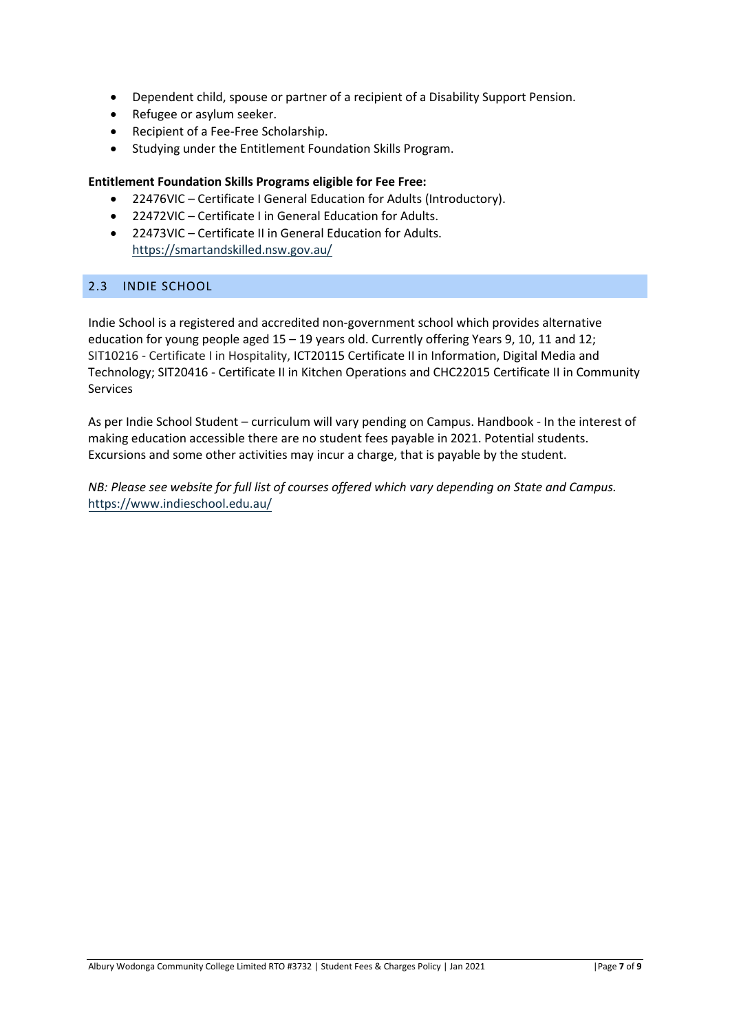- Dependent child, spouse or partner of a recipient of a Disability Support Pension.
- Refugee or asylum seeker.
- Recipient of a Fee-Free Scholarship.
- Studying under the Entitlement Foundation Skills Program.

### **Entitlement Foundation Skills Programs eligible for Fee Free:**

- 22476VIC Certificate I General Education for Adults (Introductory).
- 22472VIC Certificate I in General Education for Adults.
- 22473VIC Certificate II in General Education for Adults. <https://smartandskilled.nsw.gov.au/>

## <span id="page-6-0"></span>2.3 INDIE SCHOOL

Indie School is a registered and accredited non-government school which provides alternative education for young people aged 15 – 19 years old. Currently offering Years 9, 10, 11 and 12; SIT10216 - Certificate I in Hospitality, ICT20115 Certificate II in Information, Digital Media and Technology; SIT20416 - Certificate II in Kitchen Operations and CHC22015 Certificate II in Community Services

As per Indie School Student – curriculum will vary pending on Campus. Handbook - In the interest of making education accessible there are no student fees payable in 2021. Potential students. Excursions and some other activities may incur a charge, that is payable by the student.

*NB: Please see website for full list of courses offered which vary depending on State and Campus.* <https://www.indieschool.edu.au/>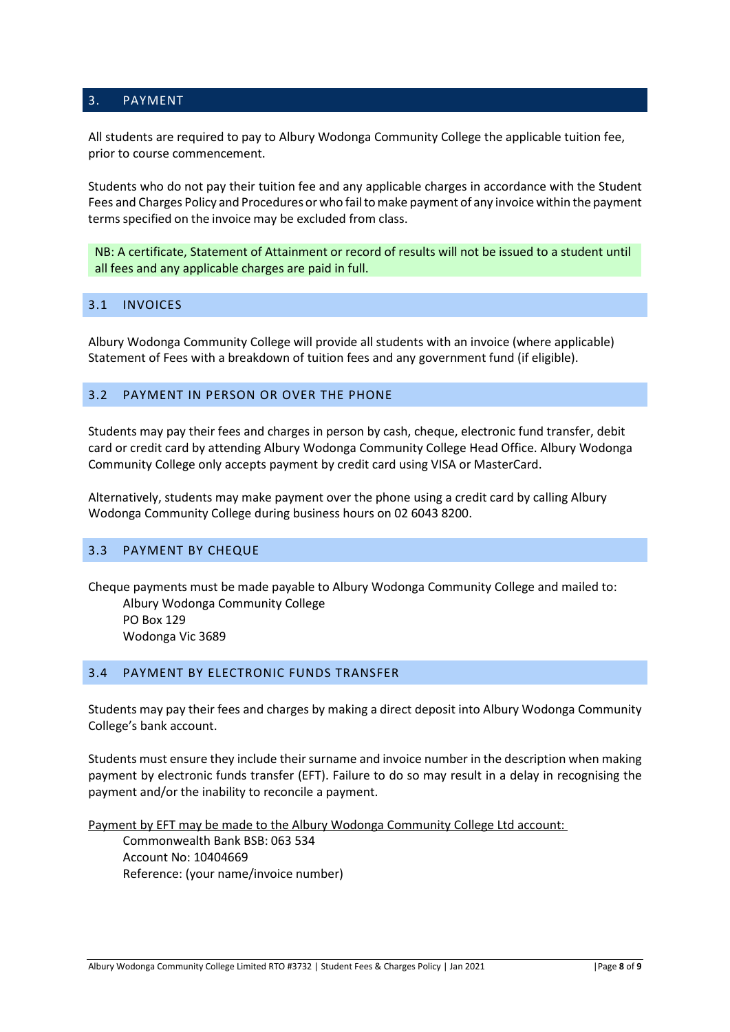#### <span id="page-7-0"></span>3. PAYMENT

All students are required to pay to Albury Wodonga Community College the applicable tuition fee, prior to course commencement.

Students who do not pay their tuition fee and any applicable charges in accordance with the Student Fees and Charges Policy and Procedures or who fail to make payment of any invoice within the payment terms specified on the invoice may be excluded from class.

NB: A certificate, Statement of Attainment or record of results will not be issued to a student until all fees and any applicable charges are paid in full.

### <span id="page-7-1"></span>3.1 INVOICES

Albury Wodonga Community College will provide all students with an invoice (where applicable) Statement of Fees with a breakdown of tuition fees and any government fund (if eligible).

## <span id="page-7-2"></span>3.2 PAYMENT IN PERSON OR OVER THE PHONE

Students may pay their fees and charges in person by cash, cheque, electronic fund transfer, debit card or credit card by attending Albury Wodonga Community College Head Office. Albury Wodonga Community College only accepts payment by credit card using VISA or MasterCard.

Alternatively, students may make payment over the phone using a credit card by calling Albury Wodonga Community College during business hours on 02 6043 8200.

#### <span id="page-7-3"></span>3.3 PAYMENT BY CHEQUE

Cheque payments must be made payable to Albury Wodonga Community College and mailed to: Albury Wodonga Community College PO Box 129 Wodonga Vic 3689

# <span id="page-7-4"></span>3.4 PAYMENT BY ELECTRONIC FUNDS TRANSFER

Students may pay their fees and charges by making a direct deposit into Albury Wodonga Community College's bank account.

Students must ensure they include their surname and invoice number in the description when making payment by electronic funds transfer (EFT). Failure to do so may result in a delay in recognising the payment and/or the inability to reconcile a payment.

Payment by EFT may be made to the Albury Wodonga Community College Ltd account:

Commonwealth Bank BSB: 063 534 Account No: 10404669 Reference: (your name/invoice number)